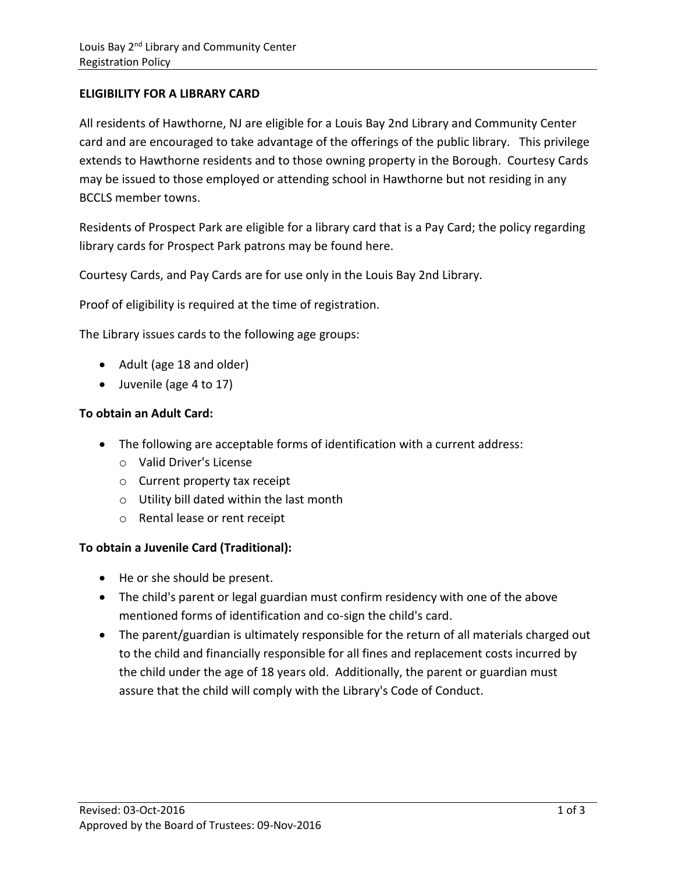## **ELIGIBILITY FOR A LIBRARY CARD**

All residents of Hawthorne, NJ are eligible for a Louis Bay 2nd Library and Community Center card and are encouraged to take advantage of the offerings of the public library. This privilege extends to Hawthorne residents and to those owning property in the Borough. Courtesy Cards may be issued to those employed or attending school in Hawthorne but not residing in any BCCLS member towns.

Residents of Prospect Park are eligible for a library card that is a Pay Card; the policy regarding library cards for Prospect Park patrons may be found here.

Courtesy Cards, and Pay Cards are for use only in the Louis Bay 2nd Library.

Proof of eligibility is required at the time of registration.

The Library issues cards to the following age groups:

- Adult (age 18 and older)
- Juvenile (age 4 to 17)

## **To obtain an Adult Card:**

- The following are acceptable forms of identification with a current address:
	- o Valid Driver's License
	- o Current property tax receipt
	- o Utility bill dated within the last month
	- o Rental lease or rent receipt

## **To obtain a Juvenile Card (Traditional):**

- He or she should be present.
- The child's parent or legal guardian must confirm residency with one of the above mentioned forms of identification and co-sign the child's card.
- The parent/guardian is ultimately responsible for the return of all materials charged out to the child and financially responsible for all fines and replacement costs incurred by the child under the age of 18 years old. Additionally, the parent or guardian must assure that the child will comply with the Library's Code of Conduct.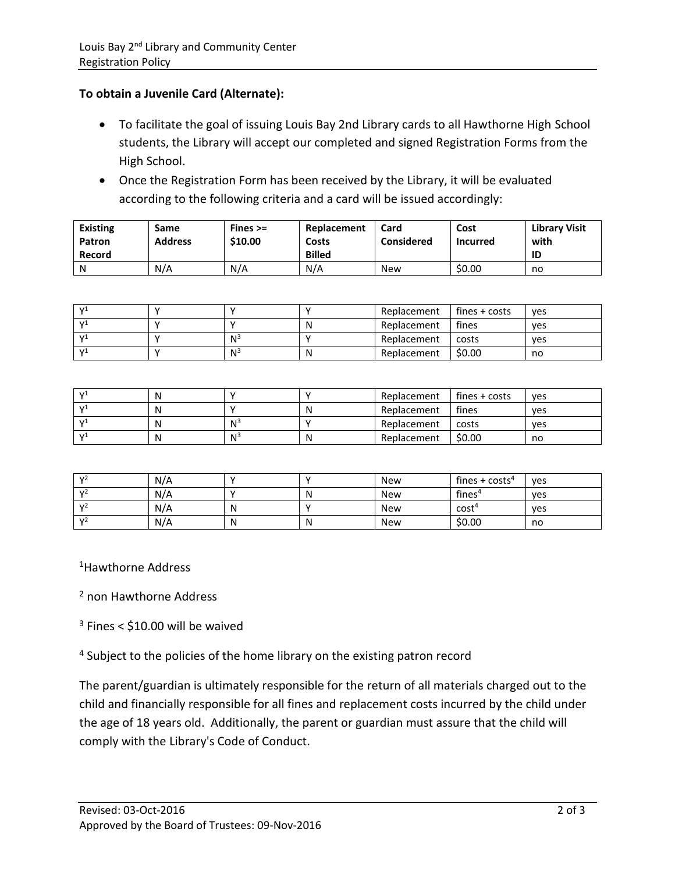## **To obtain a Juvenile Card (Alternate):**

- To facilitate the goal of issuing Louis Bay 2nd Library cards to all Hawthorne High School students, the Library will accept our completed and signed Registration Forms from the High School.
- Once the Registration Form has been received by the Library, it will be evaluated according to the following criteria and a card will be issued accordingly:

| <b>Existing</b><br>Patron<br>Record | Same<br><b>Address</b> | Fines $>=$<br>\$10.00 | Replacement<br>Costs<br><b>Billed</b> | Card<br><b>Considered</b> | Cost<br>Incurred | <b>Library Visit</b><br>with<br>ID |
|-------------------------------------|------------------------|-----------------------|---------------------------------------|---------------------------|------------------|------------------------------------|
|                                     |                        |                       |                                       |                           |                  |                                    |
| N                                   | N/A                    | N/A                   | N/A                                   | <b>New</b>                | \$0.00           | no                                 |

| - 17.1 |       |   | Replacement | $fines + costs$ | ves |
|--------|-------|---|-------------|-----------------|-----|
| - 17   |       | N | Replacement | fines           | ves |
| - 17   | $N^3$ |   | Replacement | costs           | ves |
| - Vi   | $N^3$ | N | Replacement | \$0.00          | no  |

| $\sqrt{1}$ | N |                | Replacement | $fines + costs$ | ves |
|------------|---|----------------|-------------|-----------------|-----|
| $\sqrt{1}$ | N |                | Replacement | fines           | ves |
| $\sqrt{1}$ | N | N <sup>3</sup> | Replacement | costs           | ves |
| $\sqrt{1}$ | N | N <sup>3</sup> | Replacement | \$0.00          | no  |

| $\mathcal{V}^2$ | N/A |   | <b>New</b> | fines + $costs4$   | ves |
|-----------------|-----|---|------------|--------------------|-----|
| $\mathcal{V}^2$ | N/A |   | <b>New</b> | fines <sup>4</sup> | ves |
| $\mathcal{V}^2$ | N/A | N | <b>New</b> | cost <sup>4</sup>  | yes |
| v <sub>2</sub>  | N/A | N | <b>New</b> | \$0.00             | no  |

<sup>1</sup>Hawthorne Address

2 non Hawthorne Address

 $3$  Fines < \$10.00 will be waived

<sup>4</sup> Subject to the policies of the home library on the existing patron record

The parent/guardian is ultimately responsible for the return of all materials charged out to the child and financially responsible for all fines and replacement costs incurred by the child under the age of 18 years old. Additionally, the parent or guardian must assure that the child will comply with the Library's Code of Conduct.